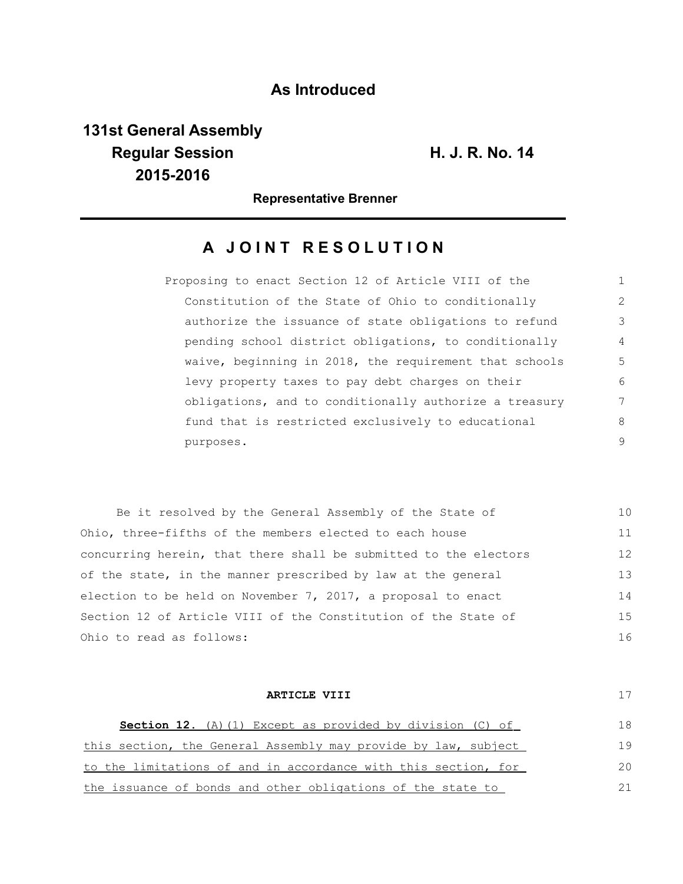## **As Introduced**

## **131st General Assembly Regular Session H. J. R. No. 14 2015-2016**

**Representative Brenner**

## **A JOINT RESOLUTION**

| Proposing to enact Section 12 of Article VIII of the   |               |
|--------------------------------------------------------|---------------|
| Constitution of the State of Ohio to conditionally     | $\mathcal{L}$ |
| authorize the issuance of state obligations to refund  | 3             |
| pending school district obligations, to conditionally  | 4             |
| waive, beginning in 2018, the requirement that schools | .5            |
| levy property taxes to pay debt charges on their       | 6             |
| obligations, and to conditionally authorize a treasury | 7             |
| fund that is restricted exclusively to educational     | 8             |
| purposes.                                              | 9             |

| Be it resolved by the General Assembly of the State of           | 10 |
|------------------------------------------------------------------|----|
| Ohio, three-fifths of the members elected to each house          | 11 |
| concurring herein, that there shall be submitted to the electors | 12 |
| of the state, in the manner prescribed by law at the general     | 13 |
| election to be held on November 7, 2017, a proposal to enact     | 14 |
| Section 12 of Article VIII of the Constitution of the State of   | 15 |
| Ohio to read as follows:                                         | 16 |

| ARTICLE VIII                                                     |              |
|------------------------------------------------------------------|--------------|
| <b>Section 12.</b> (A) (1) Except as provided by division (C) of | 18           |
| this section, the General Assembly may provide by law, subject   | 19           |
| to the limitations of and in accordance with this section, for   | $20^{\circ}$ |
| the issuance of bonds and other obligations of the state to      |              |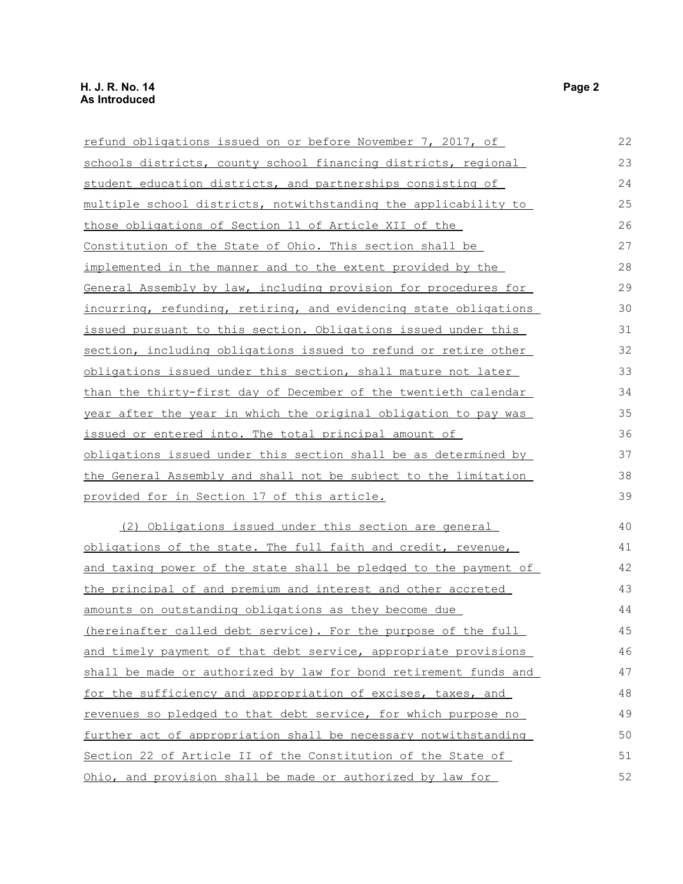| refund obligations issued on or before November 7, 2017, of      | 22 |
|------------------------------------------------------------------|----|
| schools districts, county school financing districts, regional   | 23 |
| student education districts, and partnerships consisting of      | 24 |
| multiple school districts, notwithstanding the applicability to  | 25 |
| those obligations of Section 11 of Article XII of the            | 26 |
| Constitution of the State of Ohio. This section shall be         | 27 |
| implemented in the manner and to the extent provided by the      | 28 |
| General Assembly by law, including provision for procedures for  | 29 |
| incurring, refunding, retiring, and evidencing state obligations | 30 |
| issued pursuant to this section. Obligations issued under this   | 31 |
| section, including obligations issued to refund or retire other  | 32 |
| obligations issued under this section, shall mature not later    | 33 |
| than the thirty-first day of December of the twentieth calendar  | 34 |
| year after the year in which the original obligation to pay was  | 35 |
| issued or entered into. The total principal amount of            | 36 |
| obligations issued under this section shall be as determined by  | 37 |
| the General Assembly and shall not be subject to the limitation  | 38 |
| <u>provided for in Section 17 of this article.</u>               | 39 |
| (2) Obligations issued under this section are general            | 40 |
| obligations of the state. The full faith and credit, revenue,    | 41 |
| and taxing power of the state shall be pledged to the payment of | 42 |
| the principal of and premium and interest and other accreted     | 43 |
| amounts on outstanding obligations as they become due            | 44 |
| (hereinafter called debt service). For the purpose of the full   | 45 |
| and timely payment of that debt service, appropriate provisions  | 46 |
| shall be made or authorized by law for bond retirement funds and | 47 |
| for the sufficiency and appropriation of excises, taxes, and     | 48 |
| revenues so pledged to that debt service, for which purpose no   | 49 |
| further act of appropriation shall be necessary notwithstanding  | 50 |
| Section 22 of Article II of the Constitution of the State of     | 51 |
| Ohio, and provision shall be made or authorized by law for       | 52 |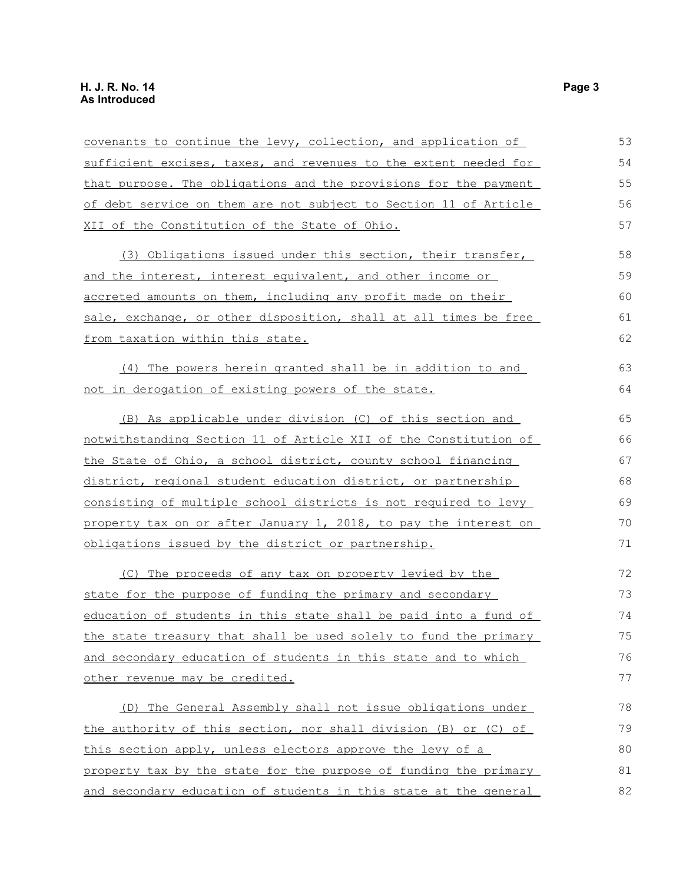| covenants to continue the levy, collection, and application of   | 53 |
|------------------------------------------------------------------|----|
| sufficient excises, taxes, and revenues to the extent needed for | 54 |
| that purpose. The obligations and the provisions for the payment | 55 |
| of debt service on them are not subject to Section 11 of Article | 56 |
| XII of the Constitution of the State of Ohio.                    | 57 |
| (3) Obligations issued under this section, their transfer,       | 58 |
| and the interest, interest equivalent, and other income or       | 59 |
| accreted amounts on them, including any profit made on their     | 60 |
| sale, exchange, or other disposition, shall at all times be free | 61 |
| from taxation within this state.                                 | 62 |
| (4) The powers herein granted shall be in addition to and        | 63 |
| not in derogation of existing powers of the state.               | 64 |
| (B) As applicable under division (C) of this section and         | 65 |
| notwithstanding Section 11 of Article XII of the Constitution of | 66 |
| the State of Ohio, a school district, county school financing    | 67 |
| district, regional student education district, or partnership    | 68 |
| consisting of multiple school districts is not required to levy  | 69 |
| property tax on or after January 1, 2018, to pay the interest on | 70 |
| obligations issued by the district or partnership.               | 71 |
| (C) The proceeds of any tax on property levied by the            | 72 |
| state for the purpose of funding the primary and secondary       | 73 |
| education of students in this state shall be paid into a fund of | 74 |
| the state treasury that shall be used solely to fund the primary | 75 |
| and secondary education of students in this state and to which   | 76 |
| other revenue may be credited.                                   | 77 |
| (D) The General Assembly shall not issue obligations under       | 78 |
| the authority of this section, nor shall division (B) or (C) of  | 79 |
| this section apply, unless electors approve the levy of a        | 80 |
| property tax by the state for the purpose of funding the primary | 81 |
| and secondary education of students in this state at the general | 82 |